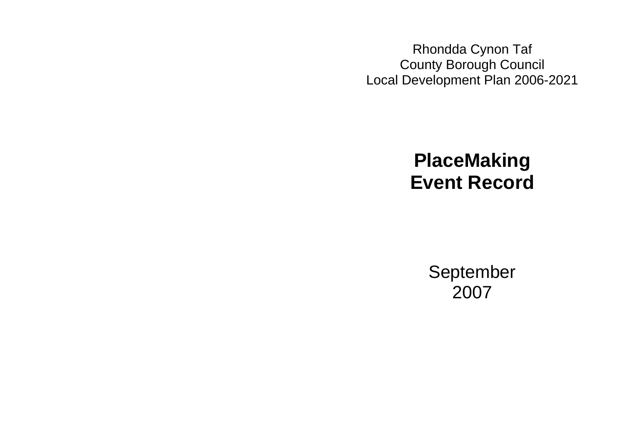Rhondda Cynon Taf County Borough Council Local Development Plan 2006-2021

# **PlaceMaking Event Record**

September 2007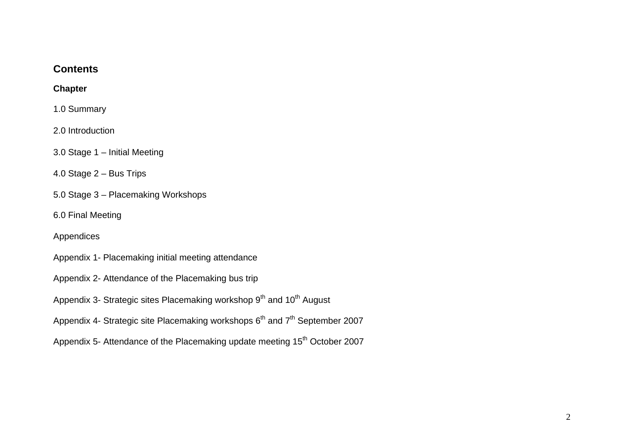# **Contents**

#### **Chapter**

1.0 Summary

2.0 Introduction

3.0 Stage 1 – Initial Meeting

4.0 Stage 2 – Bus Trips

5.0 Stage 3 – Placemaking Workshops

6.0 Final Meeting

Appendices

- Appendix 1- Placemaking initial meeting attendance
- Appendix 2- Attendance of the Placemaking bus trip
- Appendix 3- Strategic sites Placemaking workshop 9<sup>th</sup> and 10<sup>th</sup> August
- Appendix 4- Strategic site Placemaking workshops  $6<sup>th</sup>$  and  $7<sup>th</sup>$  September 2007

Appendix 5- Attendance of the Placemaking update meeting 15<sup>th</sup> October 2007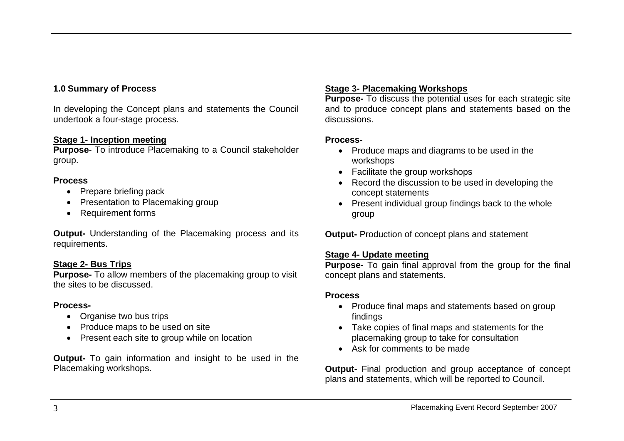# **1.0 Summary of Process**

In developing the Concept plans and statements the Council undertook a four-stage process.

#### **Stage 1- Inception meeting**

**Purpose**- To introduce Placemaking to a Council stakeholder group.

#### **Process**

- Prepare briefing pack
- Presentation to Placemaking group
- Requirement forms

**Output-** Understanding of the Placemaking process and its requirements.

#### **Stage 2- Bus Trips**

**Purpose-** To allow members of the placemaking group to visit the sites to be discussed.

#### **Process-**

- Organise two bus trips
- Produce maps to be used on site
- Present each site to group while on location

**Output-** To gain information and insight to be used in the Placemaking workshops.

### **Stage 3- Placemaking Workshops**

**Purpose-** To discuss the potential uses for each strategic site and to produce concept plans and statements based on the discussions.

#### **Process-**

- Produce maps and diagrams to be used in the workshops
- Facilitate the group workshops
- Record the discussion to be used in developing the concept statements
- Present individual group findings back to the whole group

**Output-** Production of concept plans and statement

#### **Stage 4- Update meeting**

**Purpose-** To gain final approval from the group for the final concept plans and statements.

#### **Process**

- Produce final maps and statements based on group findings
- Take copies of final maps and statements for the placemaking group to take for consultation
- Ask for comments to be made

**Output-** Final production and group acceptance of concept plans and statements, which will be reported to Council.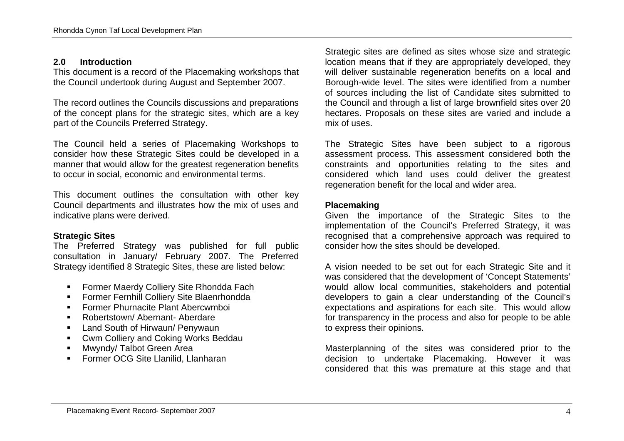# **2.0 Introduction**

This document is a record of the Placemaking workshops that the Council undertook during August and September 2007.

The record outlines the Councils discussions and preparations of the concept plans for the strategic sites, which are a key part of the Councils Preferred Strategy.

The Council held a series of Placemaking Workshops to consider how these Strategic Sites could be developed in a manner that would allow for the greatest regeneration benefits to occur in social, economic and environmental terms.

This document outlines the consultation with other key Council departments and illustrates how the mix of uses and indicative plans were derived.

# **Strategic Sites**

The Preferred Strategy was published for full public consultation in January/ February 2007. The Preferred Strategy identified 8 Strategic Sites, these are listed below:

- **Former Maerdy Colliery Site Rhondda Fach**
- Former Fernhill Colliery Site Blaenrhondda
- Former Phurnacite Plant Abercwmboi
- Robertstown/ Abernant- Aberdare
- **EXEC** Land South of Hirwaun/ Penywaun
- **EXECUTE:** Cwm Colliery and Coking Works Beddau
- Mwyndy/ Talbot Green Area
- **Former OCG Site Llanilid, Llanharan**

Strategic sites are defined as sites whose size and strategic location means that if they are appropriately developed, they will deliver sustainable regeneration benefits on a local and Borough-wide level. The sites were identified from a number of sources including the list of Candidate sites submitted to the Council and through a list of large brownfield sites over 20 hectares. Proposals on these sites are varied and include a mix of uses.

The Strategic Sites have been subject to a rigorous assessment process. This assessment considered both the constraints and opportunities relating to the sites and considered which land uses could deliver the greatest regeneration benefit for the local and wider area.

#### **Placemaking**

Given the importance of the Strategic Sites to the implementation of the Council's Preferred Strategy, it was recognised that a comprehensive approach was required to consider how the sites should be developed.

A vision needed to be set out for each Strategic Site and it was considered that the development of 'Concept Statements' would allow local communities, stakeholders and potential developers to gain a clear understanding of the Council's expectations and aspirations for each site. This would allow for transparency in the process and also for people to be able to express their opinions.

Masterplanning of the sites was considered prior to the decision to undertake Placemaking. However it was considered that this was premature at this stage and that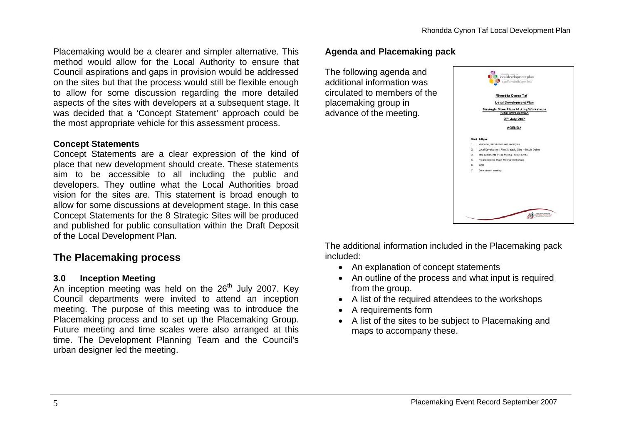Placemaking would be a clearer and simpler alternative. This method would allow for the Local Authority to ensure that Council aspirations and gaps in provision would be addressed on the sites but that the process would still be flexible enough to allow for some discussion regarding the more detailed aspects of the sites with developers at a subsequent stage. It was decided that a 'Concept Statement' approach could be the most appropriate vehicle for this assessment process.

#### **Concept Statements**

Concept Statements are a clear expression of the kind of place that new development should create. These statements aim to be accessible to all including the public and developers. They outline what the Local Authorities broad vision for the sites are. This statement is broad enough to allow for some discussions at development stage. In this case Concept Statements for the 8 Strategic Sites will be produced and published for public consultation within the Draft Deposit of the Local Development Plan.

# **The Placemaking process**

#### **3.0 Inception Meeting**

An inception meeting was held on the  $26<sup>th</sup>$  July 2007. Key Council departments were invited to attend an inception meeting. The purpose of this meeting was to introduce the Placemaking process and to set up the Placemaking Group. Future meeting and time scales were also arranged at this time. The Development Planning Team and the Council's urban designer led the meeting.

#### **Agenda and Placemaking pack**

The following agenda and additional information was circulated to members of the placemaking group in advance of the meeting.



The additional information included in the Placemaking pack included:

- An explanation of concept statements
- An outline of the process and what input is required from the group.
- A list of the required attendees to the workshops
- A requirements form
- A list of the sites to be subject to Placemaking and maps to accompany these.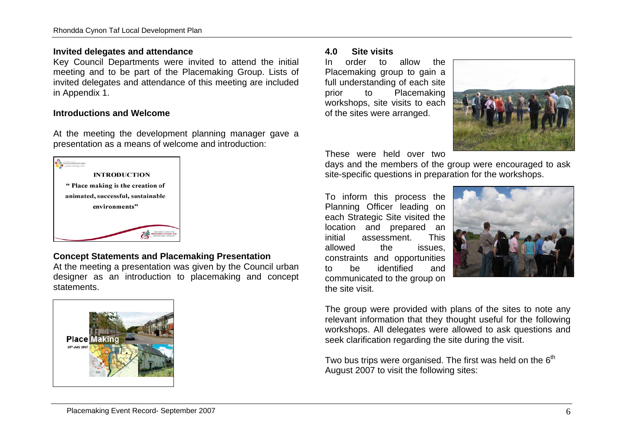#### **Invited delegates and attendance**

Key Council Departments were invited to attend the initial meeting and to be part of the Placemaking Group. Lists of invited delegates and attendance of this meeting are included in Appendix 1.

#### **Introductions and Welcome**

At the meeting the development planning manager gave a presentation as a means of welcome and introduction:



#### **Concept Statements and Placemaking Presentation**

At the meeting a presentation was given by the Council urban designer as an introduction to placemaking and concept statements.



#### **4.0 Site visits**

In order to allow the Placemaking group to gain a full understanding of each site prior to Placemaking workshops, site visits to each of the sites were arranged.



These were held over two

days and the members of the group were encouraged to ask site-specific questions in preparation for the workshops.

To inform this process the Planning Officer leading on each Strategic Site visited the location and prepared an initial assessment. This allowed the issues, constraints and opportunities to be identified and communicated to the group on the site visit.



The group were provided with plans of the sites to note any relevant information that they thought useful for the following workshops. All delegates were allowed to ask questions and seek clarification regarding the site during the visit.

Two bus trips were organised. The first was held on the  $6<sup>th</sup>$ August 2007 to visit the following sites: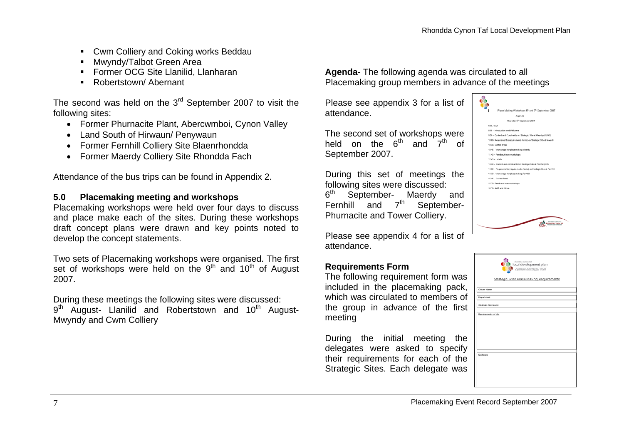- Cwm Colliery and Coking works Beddau
- Mwyndy/Talbot Green Area
- **Former OCG Site Llanilid, Llanharan**
- Robertstown/ Abernant

The second was held on the  $3<sup>rd</sup>$  September 2007 to visit the following sites:

- Former Phurnacite Plant, Abercwmboi, Cynon Valley
- Land South of Hirwaun/ Penywaun
- Former Fernhill Colliery Site Blaenrhondda
- Former Maerdy Colliery Site Rhondda Fach

Attendance of the bus trips can be found in Appendix 2.

#### **5.0 Placemaking meeting and workshops**

Placemaking workshops were held over four days to discuss and place make each of the sites. During these workshops draft concept plans were drawn and key points noted to develop the concept statements.

Two sets of Placemaking workshops were organised. The first set of workshops were held on the  $9<sup>th</sup>$  and  $10<sup>th</sup>$  of August 2007.

During these meetings the following sites were discussed:  $9<sup>th</sup>$  August- Llanilid and Robertstown and 10<sup>th</sup> August-Mwyndy and Cwm Colliery

**Agenda-** The following agenda was circulated to all Placemaking group members in advance of the meetings

Please see appendix 3 for a list of attendance.

The second set of workshops were held on the  $6^{th}$  and  $7^{th}$  of September 2007.

During this set of meetings the following sites were discussed: 6<sup>th</sup> September- Maerdy and Fernhill and  $7<sup>th</sup>$  September-Phurnacite and Tower Colliery.

Please see appendix 4 for a list of attendance.

# **Requirements Form**

The following requirement form was included in the placemaking pack, which was circulated to members of the group in advance of the first meeting

During the initial meeting the delegates were asked to specify their requirements for each of the Strategic Sites. Each delegate was



|                      | thonoida cynon tat<br>Local development plan<br>cynllun datblygu lleol<br>Strategic Sites Place Making Requirements |
|----------------------|---------------------------------------------------------------------------------------------------------------------|
| Officer Name:        |                                                                                                                     |
| <b>Department</b>    |                                                                                                                     |
| Strategic Site Name: |                                                                                                                     |
| Requirements of site |                                                                                                                     |
| Exidence             |                                                                                                                     |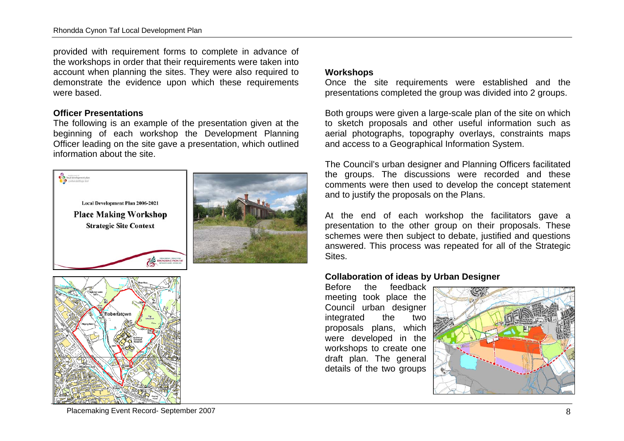provided with requirement forms to complete in advance of the workshops in order that their requirements were taken into account when planning the sites. They were also required to demonstrate the evidence upon which these requirements were based.

#### **Officer Presentations**

The following is an example of the presentation given at the beginning of each workshop the Development Planning Officer leading on the site gave a presentation, which outlined information about the site.





#### **Workshops**

Once the site requirements were established and the presentations completed the group was divided into 2 groups.

Both groups were given a large-scale plan of the site on which to sketch proposals and other useful information such as aerial photographs, topography overlays, constraints maps and access to a Geographical Information System.

The Council's urban designer and Planning Officers facilitated the groups. The discussions were recorded and these comments were then used to develop the concept statement and to justify the proposals on the Plans.

At the end of each workshop the facilitators gave a presentation to the other group on their proposals. These schemes were then subject to debate, justified and questions answered. This process was repeated for all of the Strategic Sites.

#### **Collaboration of ideas by Urban Designer**

Before the feedback meeting took place the Council urban designer integrated the two proposals plans, which were developed in the workshops to create one draft plan. The general details of the two groups



#### Placemaking Event Record- September 2007 88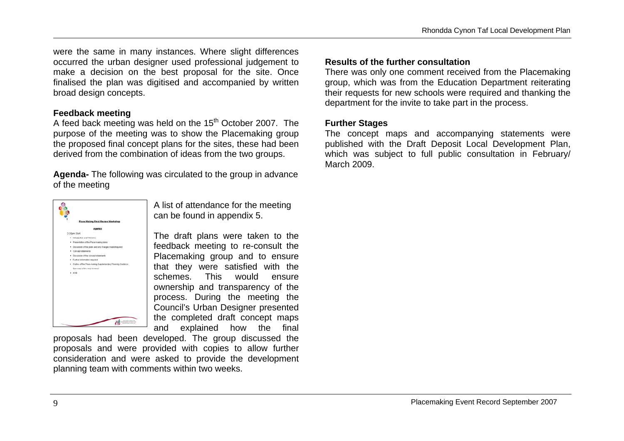were the same in many instances. Where slight differences occurred the urban designer used professional judgement to make a decision on the best proposal for the site. Once finalised the plan was digitised and accompanied by written broad design concepts.

#### **Feedback meeting**

A feed back meeting was held on the 15<sup>th</sup> October 2007. The purpose of the meeting was to show the Placemaking group the proposed final concept plans for the sites, these had been derived from the combination of ideas from the two groups.

**Agenda-** The following was circulated to the group in advance of the meeting



A list of attendance for the meeting can be found in appendix 5.

The draft plans were taken to the feedback meeting to re-consult the Placemaking group and to ensure that they were satisfied with the schemes. This would ensure ownership and transparency of the process. During the meeting the Council's Urban Designer presented the completed draft concept maps and explained how the final

proposals had been developed. The group discussed the proposals and were provided with copies to allow further consideration and were asked to provide the development planning team with comments within two weeks.

#### **Results of the further consultation**

There was only one comment received from the Placemaking group, which was from the Education Department reiterating their requests for new schools were required and thanking the department for the invite to take part in the process.

#### **Further Stages**

The concept maps and accompanying statements were published with the Draft Deposit Local Development Plan, which was subject to full public consultation in February/ March 2009.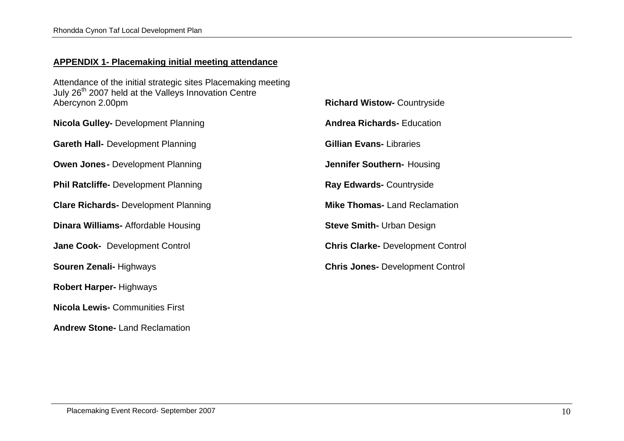#### **APPENDIX 1- Placemaking initial meeting attendance**

Attendance of the initial strategic sites Placemaking meeting July 26<sup>th</sup> 2007 held at the Valleys Innovation Centre Abercynon 2.00pm

| <b>Nicola Gulley-</b> Development Planning  | <b>Andrea Rio</b>  |
|---------------------------------------------|--------------------|
| <b>Gareth Hall-</b> Development Planning    | <b>Gillian Eva</b> |
| <b>Owen Jones-</b> Development Planning     | <b>Jennifer S</b>  |
| <b>Phil Ratcliffe-</b> Development Planning | Ray Edwai          |
| <b>Clare Richards- Development Planning</b> | <b>Mike Thon</b>   |
| <b>Dinara Williams-Affordable Housing</b>   | <b>Steve Smit</b>  |
| Jane Cook- Development Control              | <b>Chris Clarl</b> |
| <b>Souren Zenali- Highways</b>              | <b>Chris Jone</b>  |
| <b>Robert Harper-Highways</b>               |                    |
| <b>Nicola Lewis- Communities First</b>      |                    |

**chards- Education ans-** Libraries **Jouthern-** Housing **rds-** Countryside **mas-** Land Reclamation **Steve Smith-** Urban Design **Ke-** Development Control **es-** Development Control

**Richard Wistow-** Countryside

**Andrew Stone-** Land Reclamation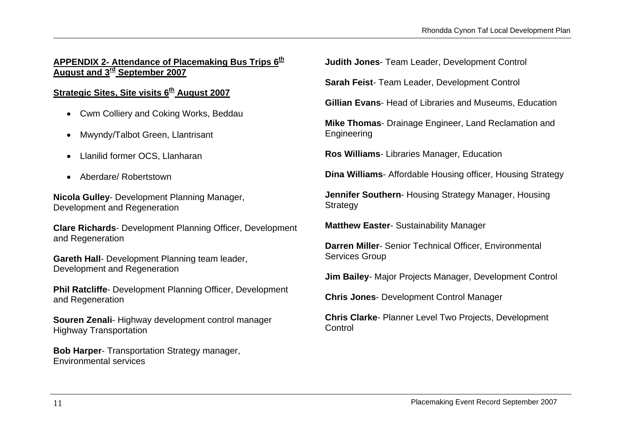# **APPENDIX 2- Attendance of Placemaking Bus Trips 6th August and 3rd September 2007**

# **Strategic Sites, Site visits 6th August 2007**

- Cwm Colliery and Coking Works, Beddau
- Mwyndy/Talbot Green, Llantrisant
- Llanilid former OCS, Llanharan
- Aberdare/ Robertstown

**Nicola Gulley**- Development Planning Manager, Development and Regeneration

**Clare Richards**- Development Planning Officer, Development and Regeneration

**Gareth Hall**- Development Planning team leader, Development and Regeneration

**Phil Ratcliffe**- Development Planning Officer, Development and Regeneration

**Souren Zenali**- Highway development control manager Highway Transportation

**Bob Harper**- Transportation Strategy manager, Environmental services

**Judith Jones**- Team Leader, Development Control

**Sarah Feist**- Team Leader, Development Control

**Gillian Evans**- Head of Libraries and Museums, Education

**Mike Thomas**- Drainage Engineer, Land Reclamation and Engineering

**Ros Williams**- Libraries Manager, Education

**Dina Williams**- Affordable Housing officer, Housing Strategy

**Jennifer Southern**- Housing Strategy Manager, Housing **Strategy** 

**Matthew Easter**- Sustainability Manager

**Darren Miller**- Senior Technical Officer, Environmental Services Group

**Jim Bailey**- Major Projects Manager, Development Control

**Chris Jones**- Development Control Manager

**Chris Clarke**- Planner Level Two Projects, Development **Control**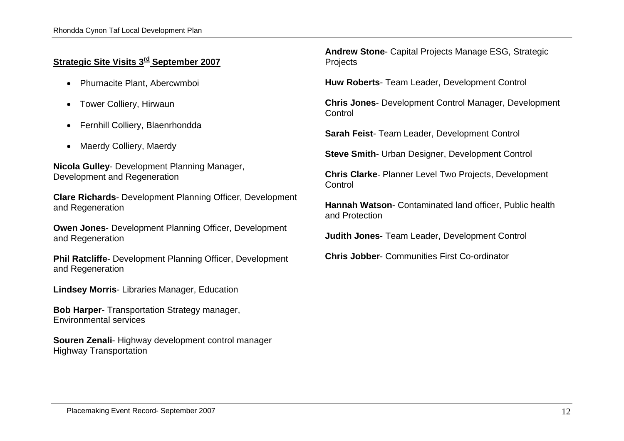# **Strategic Site Visits 3rd September 2007**

- Phurnacite Plant, Abercwmboi
- Tower Colliery, Hirwaun
- Fernhill Colliery, Blaenrhondda
- Maerdy Colliery, Maerdy

**Nicola Gulley**- Development Planning Manager, Development and Regeneration

**Clare Richards**- Development Planning Officer, Development and Regeneration

**Owen Jones**- Development Planning Officer, Development and Regeneration

**Phil Ratcliffe**- Development Planning Officer, Development and Regeneration

**Lindsey Morris**- Libraries Manager, Education

**Bob Harper**- Transportation Strategy manager, Environmental services

**Souren Zenali**- Highway development control manager Highway Transportation

**Andrew Stone**- Capital Projects Manage ESG, Strategic **Projects** 

**Huw Roberts**- Team Leader, Development Control

**Chris Jones**- Development Control Manager, Development **Control** 

**Sarah Feist**- Team Leader, Development Control

**Steve Smith**- Urban Designer, Development Control

**Chris Clarke**- Planner Level Two Projects, Development **Control** 

**Hannah Watson**- Contaminated land officer, Public health and Protection

**Judith Jones**- Team Leader, Development Control

**Chris Jobber**- Communities First Co-ordinator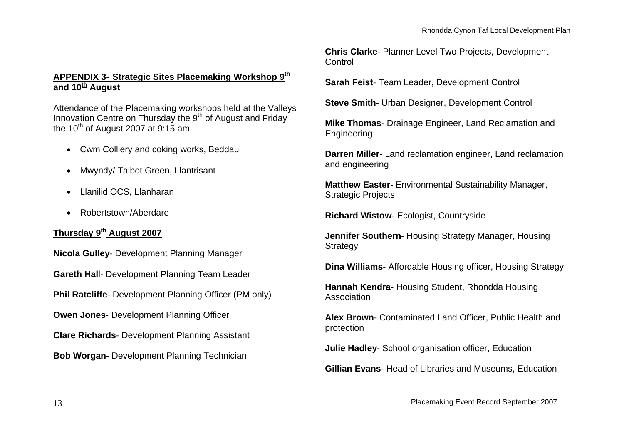# **APPENDIX 3- Strategic Sites Placemaking Workshop 9th and 10th August**

Attendance of the Placemaking workshops held at the Valleys Innovation Centre on Thursday the 9<sup>th</sup> of August and Friday the 10<sup>th</sup> of August 2007 at 9:15 am

- Cwm Colliery and coking works, Beddau
- Mwyndy/ Talbot Green, Llantrisant
- Llanilid OCS, Llanharan
- Robertstown/Aberdare

# **Thursday 9th August 2007**

**Nicola Gulley**- Development Planning Manager **Gareth Hal**l- Development Planning Team Leader **Phil Ratcliffe-** Development Planning Officer (PM only) **Owen Jones**- Development Planning Officer **Clare Richards**- Development Planning Assistant **Bob Worgan**- Development Planning Technician

**Chris Clarke**- Planner Level Two Projects, Development Control

**Sarah Feist**- Team Leader, Development Control

**Steve Smith**- Urban Designer, Development Control

**Mike Thomas**- Drainage Engineer, Land Reclamation and Engineering

**Darren Miller**- Land reclamation engineer, Land reclamation and engineering

**Matthew Easter**- Environmental Sustainability Manager, Strategic Projects

**Richard Wistow**- Ecologist, Countryside

**Jennifer Southern**- Housing Strategy Manager, Housing **Strategy** 

**Dina Williams**- Affordable Housing officer, Housing Strategy

**Hannah Kendra**- Housing Student, Rhondda Housing Association

**Alex Brown**- Contaminated Land Officer, Public Health and protection

**Julie Hadley**- School organisation officer, Education

**Gillian Evans**- Head of Libraries and Museums, Education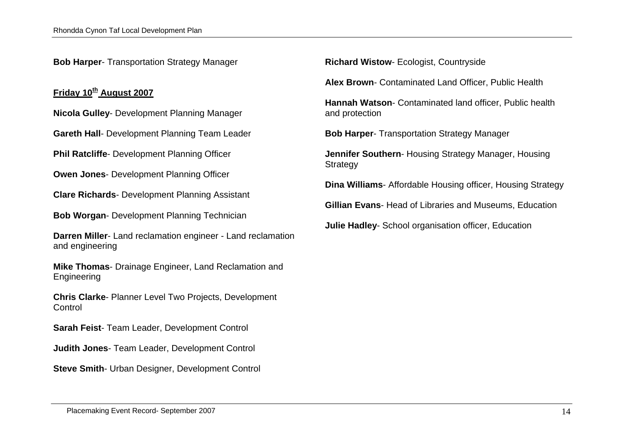**Bob Harper**- Transportation Strategy Manager

#### **Friday 10th August 2007**

**Nicola Gulley**- Development Planning Manager

**Gareth Hall**- Development Planning Team Leader

**Phil Ratcliffe**- Development Planning Officer

**Owen Jones**- Development Planning Officer

**Clare Richards**- Development Planning Assistant

**Bob Worgan**- Development Planning Technician

**Darren Miller**- Land reclamation engineer - Land reclamation and engineering

**Mike Thomas**- Drainage Engineer, Land Reclamation and Engineering

**Chris Clarke**- Planner Level Two Projects, Development **Control** 

**Sarah Feist**- Team Leader, Development Control

**Judith Jones**- Team Leader, Development Control

**Steve Smith**- Urban Designer, Development Control

**Richard Wistow**- Ecologist, Countryside

**Alex Brown**- Contaminated Land Officer, Public Health

**Hannah Watson**- Contaminated land officer, Public health and protection

**Bob Harper**- Transportation Strategy Manager

**Jennifer Southern**- Housing Strategy Manager, Housing **Strategy** 

**Dina Williams**- Affordable Housing officer, Housing Strategy

**Gillian Evans**- Head of Libraries and Museums, Education

**Julie Hadley**- School organisation officer, Education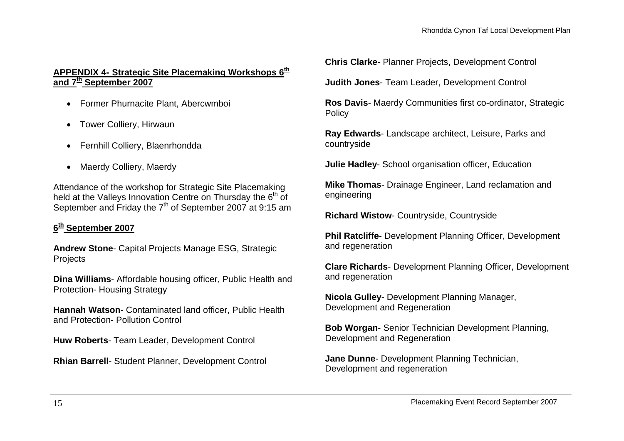#### **APPENDIX 4- Strategic Site Placemaking Workshops 6th and 7th September 2007**

- Former Phurnacite Plant, Abercwmboi
- Tower Colliery, Hirwaun
- Fernhill Colliery, Blaenrhondda
- Maerdy Colliery, Maerdy

Attendance of the workshop for Strategic Site Placemaking held at the Valleys Innovation Centre on Thursday the  $6<sup>th</sup>$  of September and Friday the  $7<sup>th</sup>$  of September 2007 at 9:15 am

# **<sup>6</sup>th September 2007**

**Andrew Stone**- Capital Projects Manage ESG, Strategic **Projects** 

**Dina Williams**- Affordable housing officer, Public Health and Protection- Housing Strategy

**Hannah Watson**- Contaminated land officer, Public Health and Protection- Pollution Control

**Huw Roberts**- Team Leader, Development Control

**Rhian Barrell**- Student Planner, Development Control

**Chris Clarke**- Planner Projects, Development Control

**Judith Jones**- Team Leader, Development Control

**Ros Davis**- Maerdy Communities first co-ordinator, Strategic **Policy** 

**Ray Edwards**- Landscape architect, Leisure, Parks and countryside

**Julie Hadley**- School organisation officer, Education

**Mike Thomas**- Drainage Engineer, Land reclamation and engineering

**Richard Wistow**- Countryside, Countryside

**Phil Ratcliffe**- Development Planning Officer, Development and regeneration

**Clare Richards**- Development Planning Officer, Development and regeneration

**Nicola Gulley**- Development Planning Manager, Development and Regeneration

**Bob Worgan**- Senior Technician Development Planning, Development and Regeneration

**Jane Dunne**- Development Planning Technician, Development and regeneration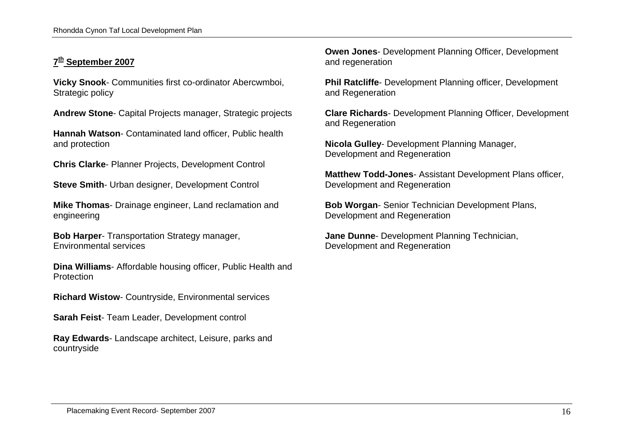# **<sup>7</sup>th September 2007**

**Vicky Snook**- Communities first co-ordinator Abercwmboi, Strategic policy

**Andrew Stone**- Capital Projects manager, Strategic projects

**Hannah Watson**- Contaminated land officer, Public health and protection

**Chris Clarke**- Planner Projects, Development Control

**Steve Smith**- Urban designer, Development Control

**Mike Thomas**- Drainage engineer, Land reclamation and engineering

**Bob Harper**- Transportation Strategy manager, Environmental services

**Dina Williams**- Affordable housing officer, Public Health and Protection

**Richard Wistow**- Countryside, Environmental services

**Sarah Feist**- Team Leader, Development control

**Ray Edwards**- Landscape architect, Leisure, parks and countryside

**Owen Jones**- Development Planning Officer, Development and regeneration

**Phil Ratcliffe**- Development Planning officer, Development and Regeneration

**Clare Richards**- Development Planning Officer, Development and Regeneration

**Nicola Gulley**- Development Planning Manager, Development and Regeneration

**Matthew Todd-Jones**- Assistant Development Plans officer, Development and Regeneration

**Bob Worgan**- Senior Technician Development Plans, Development and Regeneration

**Jane Dunne**- Development Planning Technician, Development and Regeneration